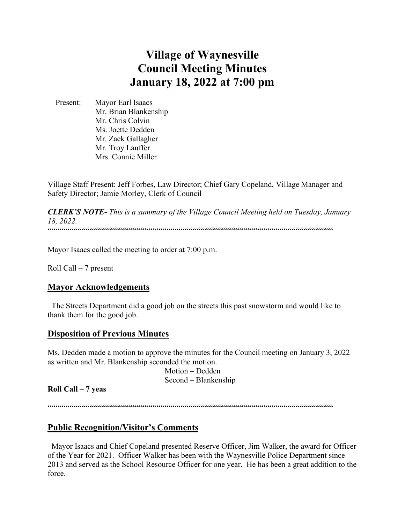# **Village of Waynesville Council Meeting Minutes January 18, 2022 at 7:00 pm**

 Present: Mayor Earl Isaacs Mr. Brian Blankenship Mr. Chris Colvin Ms. Joette Dedden Mr. Zack Gallagher Mr. Troy Lauffer Mrs. Connie Miller

Village Staff Present: Jeff Forbes, Law Director; Chief Gary Copeland, Village Manager and Safety Director; Jamie Morley, Clerk of Council

*CLERK'S NOTE- This is a summary of the Village Council Meeting held on Tuesday, January 18, 2022.*  """"""""""""""""""""""""""""""""""""""""""""""""""""""""""""""""""""""""

Mayor Isaacs called the meeting to order at 7:00 p.m.

Roll Call – 7 present

#### **Mayor Acknowledgements**

 The Streets Department did a good job on the streets this past snowstorm and would like to thank them for the good job.

# **Disposition of Previous Minutes**

Ms. Dedden made a motion to approve the minutes for the Council meeting on January 3, 2022 as written and Mr. Blankenship seconded the motion.

 Motion – Dedden Second – Blankenship

**Roll Call – 7 yeas**

""""""""""""""""""""""""""""""""""""""""""""""""""""""""""""""""""""""""

## **Public Recognition/Visitor's Comments**

 Mayor Isaacs and Chief Copeland presented Reserve Officer, Jim Walker, the award for Officer of the Year for 2021. Officer Walker has been with the Waynesville Police Department since 2013 and served as the School Resource Officer for one year. He has been a great addition to the force.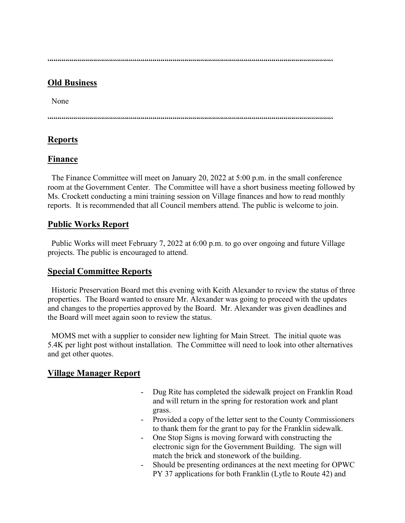$\label{prop:main} \hspace{1.5cm} \hspace{1.5cm} \hspace{1.5cm} \hspace{1.5cm} \hspace{1.5cm} \hspace{1.5cm} \hspace{1.5cm} \hspace{1.5cm} \hspace{1.5cm} \hspace{1.5cm} \hspace{1.5cm} \hspace{1.5cm} \hspace{1.5cm} \hspace{1.5cm} \hspace{1.5cm} \hspace{1.5cm} \hspace{1.5cm} \hspace{1.5cm} \hspace{1.5cm} \hspace{1.5cm} \hspace{1.5cm} \hspace{1.5cm} \hspace{1.5cm} \hspace{1.$ 

## **Old Business**

None

""""""""""""""""""""""""""""""""""""""""""""""""""""""""""""""""""""""""

## **Reports**

## **Finance**

 The Finance Committee will meet on January 20, 2022 at 5:00 p.m. in the small conference room at the Government Center. The Committee will have a short business meeting followed by Ms. Crockett conducting a mini training session on Village finances and how to read monthly reports. It is recommended that all Council members attend. The public is welcome to join.

## **Public Works Report**

 Public Works will meet February 7, 2022 at 6:00 p.m. to go over ongoing and future Village projects. The public is encouraged to attend.

## **Special Committee Reports**

 Historic Preservation Board met this evening with Keith Alexander to review the status of three properties. The Board wanted to ensure Mr. Alexander was going to proceed with the updates and changes to the properties approved by the Board. Mr. Alexander was given deadlines and the Board will meet again soon to review the status.

 MOMS met with a supplier to consider new lighting for Main Street. The initial quote was 5.4K per light post without installation. The Committee will need to look into other alternatives and get other quotes.

# **Village Manager Report**

- Dug Rite has completed the sidewalk project on Franklin Road and will return in the spring for restoration work and plant grass.
- Provided a copy of the letter sent to the County Commissioners to thank them for the grant to pay for the Franklin sidewalk.
- One Stop Signs is moving forward with constructing the electronic sign for the Government Building. The sign will match the brick and stonework of the building.
- Should be presenting ordinances at the next meeting for OPWC PY 37 applications for both Franklin (Lytle to Route 42) and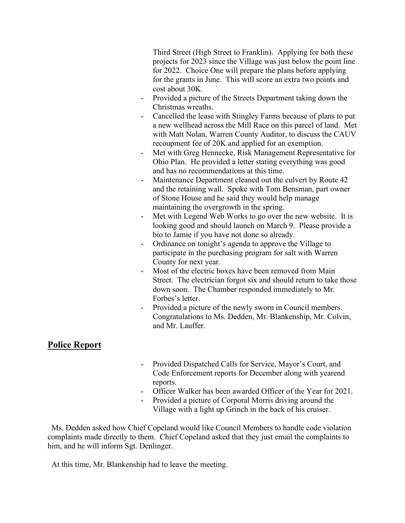Third Street (High Street to Franklin). Applying for both these projects for 2023 since the Village was just below the point line for 2022. Choice One will prepare the plans before applying for the grants in June. This will score an extra two points and cost about 30K.

- Provided a picture of the Streets Department taking down the Christmas wreaths.
- Cancelled the lease with Stingley Farms because of plans to put a new wellhead across the Mill Race on this parcel of land. Met with Matt Nolan, Warren County Auditor, to discuss the CAUV recoupment fee of 20K and applied for an exemption.
- Met with Greg Hennecke, Risk Management Representative for Ohio Plan. He provided a letter stating everything was good and has no recommendations at this time.
- Maintenance Department cleaned out the culvert by Route 42 and the retaining wall. Spoke with Tom Bensman, part owner of Stone House and he said they would help manage maintaining the overgrowth in the spring.
- Met with Legend Web Works to go over the new website. It is looking good and should launch on March 9. Please provide a bio to Jamie if you have not done so already.
- Ordinance on tonight's agenda to approve the Village to participate in the purchasing program for salt with Warren County for next year.
- Most of the electric boxes have been removed from Main Street. The electrician forgot six and should return to take those down soon. The Chamber responded immediately to Mr. Forbes's letter.
- Provided a picture of the newly sworn in Council members. Congratulations to Ms. Dedden, Mr. Blankenship, Mr. Colvin, and Mr. Lauffer.

# **Police Report**

- Provided Dispatched Calls for Service, Mayor's Court, and Code Enforcement reports for December along with yearend reports.
- Officer Walker has been awarded Officer of the Year for 2021.
- Provided a picture of Corporal Morris driving around the
- Village with a light up Grinch in the back of his cruiser.

 Ms. Dedden asked how Chief Copeland would like Council Members to handle code violation complaints made directly to them. Chief Copeland asked that they just email the complaints to him, and he will inform Sgt. Denlinger.

At this time, Mr. Blankenship had to leave the meeting.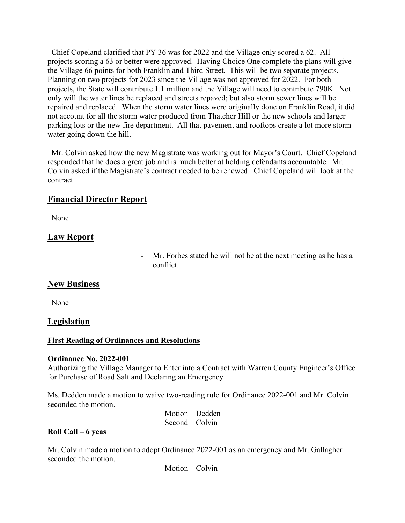Chief Copeland clarified that PY 36 was for 2022 and the Village only scored a 62. All projects scoring a 63 or better were approved. Having Choice One complete the plans will give the Village 66 points for both Franklin and Third Street. This will be two separate projects. Planning on two projects for 2023 since the Village was not approved for 2022. For both projects, the State will contribute 1.1 million and the Village will need to contribute 790K. Not only will the water lines be replaced and streets repaved; but also storm sewer lines will be repaired and replaced. When the storm water lines were originally done on Franklin Road, it did not account for all the storm water produced from Thatcher Hill or the new schools and larger parking lots or the new fire department. All that pavement and rooftops create a lot more storm water going down the hill.

 Mr. Colvin asked how the new Magistrate was working out for Mayor's Court. Chief Copeland responded that he does a great job and is much better at holding defendants accountable. Mr. Colvin asked if the Magistrate's contract needed to be renewed. Chief Copeland will look at the contract.

# **Financial Director Report**

None

# **Law Report**

- Mr. Forbes stated he will not be at the next meeting as he has a conflict.

## **New Business**

None

## **Legislation**

## **First Reading of Ordinances and Resolutions**

#### **Ordinance No. 2022-001**

Authorizing the Village Manager to Enter into a Contract with Warren County Engineer's Office for Purchase of Road Salt and Declaring an Emergency

Ms. Dedden made a motion to waive two-reading rule for Ordinance 2022-001 and Mr. Colvin seconded the motion.

| Motion – Dedden   |
|-------------------|
| $Second - Colvin$ |

#### **Roll Call – 6 yeas**

Mr. Colvin made a motion to adopt Ordinance 2022-001 as an emergency and Mr. Gallagher seconded the motion.

Motion – Colvin